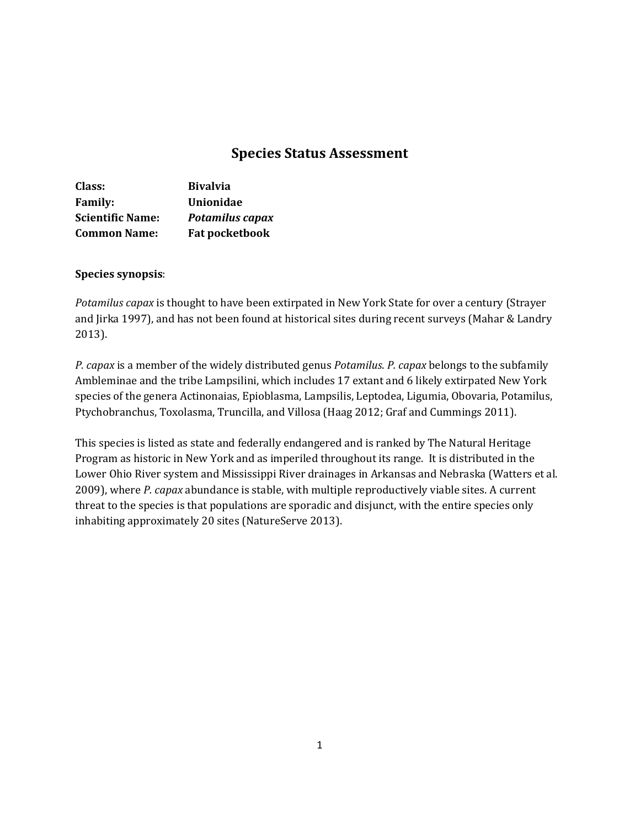# **Species Status Assessment**

| Class:                  | <b>Bivalvia</b>        |
|-------------------------|------------------------|
| <b>Family:</b>          | Unionidae              |
| <b>Scientific Name:</b> | <b>Potamilus capax</b> |
| <b>Common Name:</b>     | <b>Fat pocketbook</b>  |

### **Species synopsis**:

*Potamilus capax* is thought to have been extirpated in New York State for over a century (Strayer and Jirka 1997), and has not been found at historical sites during recent surveys (Mahar & Landry 2013).

*P. capax* is a member of the widely distributed genus *Potamilus*. *P. capax* belongs to the subfamily Ambleminae and the tribe Lampsilini, which includes 17 extant and 6 likely extirpated New York species of the genera Actinonaias, Epioblasma, Lampsilis, Leptodea, Ligumia, Obovaria, Potamilus, Ptychobranchus, Toxolasma, Truncilla, and Villosa (Haag 2012; Graf and Cummings 2011).

This species is listed as state and federally endangered and is ranked by The Natural Heritage Program as historic in New York and as imperiled throughout its range. It is distributed in the Lower Ohio River system and Mississippi River drainages in Arkansas and Nebraska (Watters et al. 2009), where *P. capax* abundance is stable, with multiple reproductively viable sites. A current threat to the species is that populations are sporadic and disjunct, with the entire species only inhabiting approximately 20 sites (NatureServe 2013).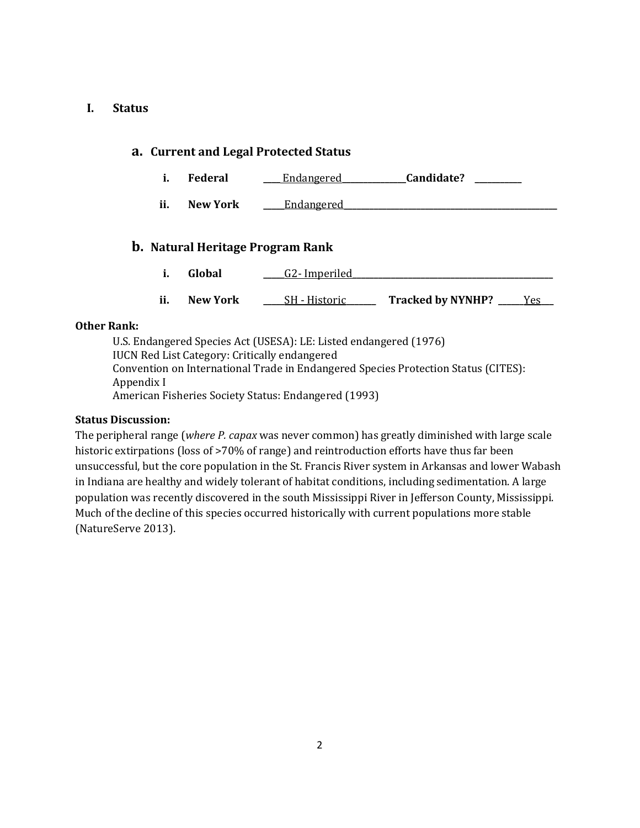### **I. Status**

### **a. Current and Legal Protected Status**

- **i. Federal \_\_\_\_** Endangered**\_\_\_\_\_\_\_\_\_\_\_\_\_\_\_Candidate? \_\_\_\_\_\_\_\_\_\_\_**
- **ii. New York Leadangered**

## **b. Natural Heritage Program Rank**

- **i. Global \_\_\_\_\_**G2- Imperiled**\_\_\_\_\_\_\_\_\_\_\_\_\_\_\_\_\_\_\_\_\_\_\_\_\_\_\_\_\_\_\_\_\_\_\_\_\_\_\_\_\_\_\_\_\_\_\_**
- **ii. New York SH** Historic **Tracked by NYNHP?** Yes

#### **Other Rank:**

U.S. Endangered Species Act (USESA): LE: Listed endangered (1976) IUCN Red List Category: Critically endangered Convention on International Trade in Endangered Species Protection Status (CITES): Appendix I American Fisheries Society Status: Endangered (1993)

### **Status Discussion:**

The peripheral range (*where P. capax* was never common) has greatly diminished with large scale historic extirpations (loss of >70% of range) and reintroduction efforts have thus far been unsuccessful, but the core population in the St. Francis River system in Arkansas and lower Wabash in Indiana are healthy and widely tolerant of habitat conditions, including sedimentation. A large population was recently discovered in the south Mississippi River in Jefferson County, Mississippi. Much of the decline of this species occurred historically with current populations more stable (NatureServe 2013).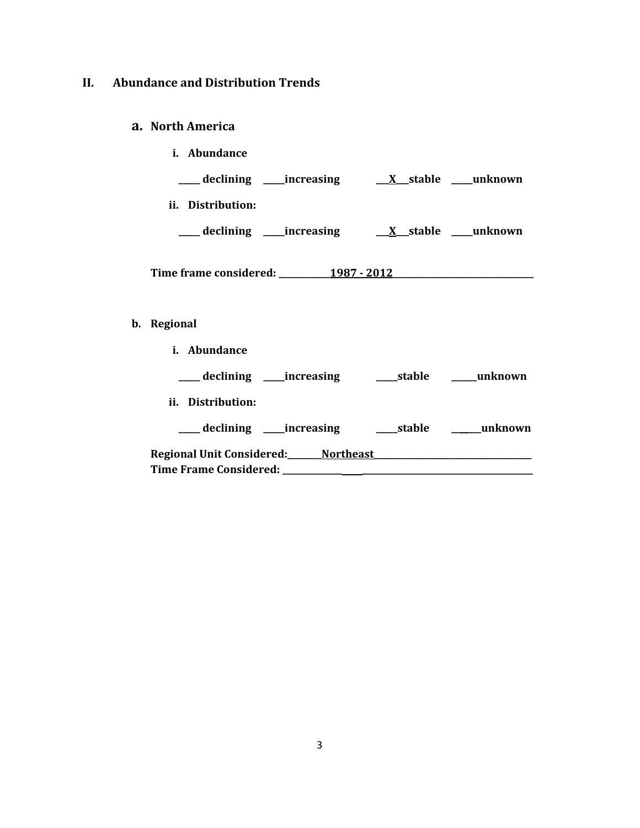# **II. Abundance and Distribution Trends**

# **a. North America**

**b**.

| i. Abundance                                                    |  |  |  |  |
|-----------------------------------------------------------------|--|--|--|--|
|                                                                 |  |  |  |  |
| ii. Distribution:                                               |  |  |  |  |
| ___ declining ____increasing ____ <u>X__</u> stable ____unknown |  |  |  |  |
|                                                                 |  |  |  |  |
|                                                                 |  |  |  |  |
| Regional                                                        |  |  |  |  |
| i. Abundance                                                    |  |  |  |  |
| ____ declining ____ increasing _______ stable ______ unknown    |  |  |  |  |
| ii. Distribution:                                               |  |  |  |  |
| ___ declining ____increasing _______stable ______unknown        |  |  |  |  |
|                                                                 |  |  |  |  |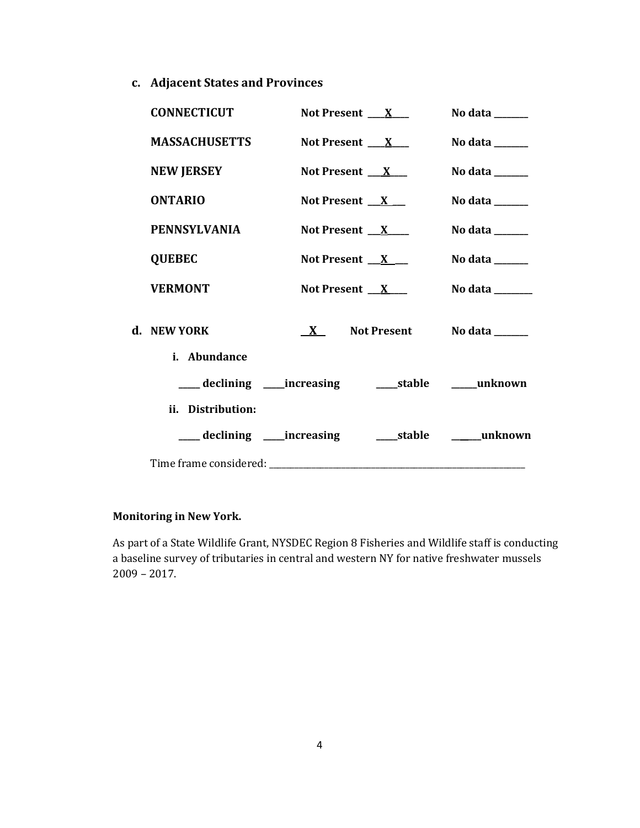**c. Adjacent States and Provinces**

| <b>CONNECTICUT</b>                                           |                     | Not Present $X_{-}$            | No data $\frac{1}{\sqrt{1-\frac{1}{2}}\cdot\frac{1}{\sqrt{1-\frac{1}{2}}}}$ |
|--------------------------------------------------------------|---------------------|--------------------------------|-----------------------------------------------------------------------------|
| <b>MASSACHUSETTS</b>                                         |                     | Not Present $X_{-}$            | No data ______                                                              |
| <b>NEW JERSEY</b>                                            | Not Present $X_{-}$ |                                | No data ______                                                              |
| <b>ONTARIO</b>                                               | Not Present $X_{-}$ |                                | No data ______                                                              |
| <b>PENNSYLVANIA</b>                                          |                     | Not Present $X_{-}$            | No data $\_\_\_\_\_\_\_\_\_\_\_\_\$                                         |
| <b>QUEBEC</b>                                                | Not Present $X_{-}$ |                                | No data $\frac{1}{\sqrt{1-\frac{1}{2}}\cdot\frac{1}{\sqrt{1-\frac{1}{2}}}}$ |
| <b>VERMONT</b>                                               | Not Present $X$     |                                | No data _______                                                             |
| d. NEW YORK                                                  |                     | $X$ Not Present No data ______ |                                                                             |
| i. Abundance                                                 |                     |                                |                                                                             |
| ___ declining ____ increasing ______ stable _____ unknown    |                     |                                |                                                                             |
| ii. Distribution:                                            |                     |                                |                                                                             |
| ___ declining ____ increasing _______ stable _______ unknown |                     |                                |                                                                             |
|                                                              |                     |                                |                                                                             |

## **Monitoring in New York.**

As part of a State Wildlife Grant, NYSDEC Region 8 Fisheries and Wildlife staff is conducting a baseline survey of tributaries in central and western NY for native freshwater mussels 2009 – 2017.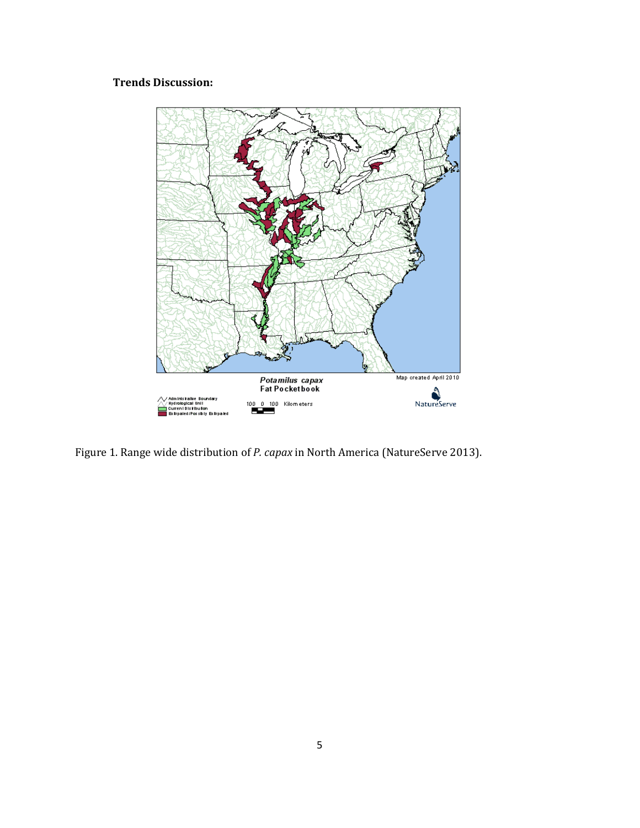# **Trends Discussion:**



Figure 1. Range wide distribution of *P. capax* in North America (NatureServe 2013).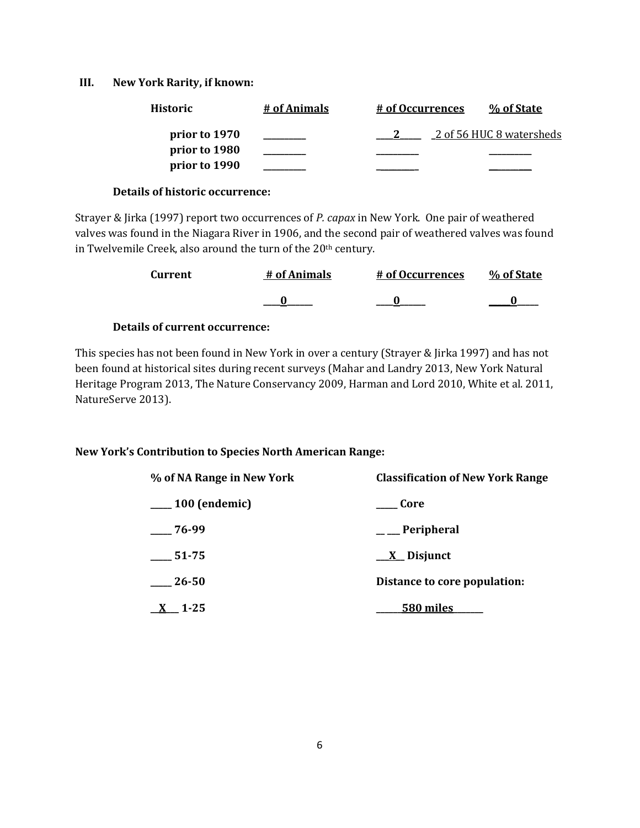### **III. New York Rarity, if known:**

| <b>Historic</b> | # of Animals | # of Occurrences | % of State               |
|-----------------|--------------|------------------|--------------------------|
| prior to 1970   |              |                  | 2 of 56 HUC 8 watersheds |
| prior to 1980   |              |                  |                          |
| prior to 1990   |              |                  |                          |

### **Details of historic occurrence:**

Strayer & Jirka (1997) report two occurrences of *P. capax* in New York. One pair of weathered valves was found in the Niagara River in 1906, and the second pair of weathered valves was found in Twelvemile Creek, also around the turn of the 20<sup>th</sup> century.

| <b>Current</b> | # of Animals | # of Occurrences | % of State |
|----------------|--------------|------------------|------------|
|                |              |                  |            |

### **Details of current occurrence:**

This species has not been found in New York in over a century (Strayer & Jirka 1997) and has not been found at historical sites during recent surveys (Mahar and Landry 2013, New York Natural Heritage Program 2013, The Nature Conservancy 2009, Harman and Lord 2010, White et al. 2011, NatureServe 2013).

### **New York's Contribution to Species North American Range:**

| % of NA Range in New York | <b>Classification of New York Range</b> |  |  |
|---------------------------|-----------------------------------------|--|--|
| $\frac{100}{2}$ (endemic) | <b>Core</b>                             |  |  |
| $-76-99$                  | $\equiv$ Peripheral                     |  |  |
| 51-75                     | $\underline{X}$ Disjunct                |  |  |
| 26-50                     | Distance to core population:            |  |  |
| $-1 - 25$                 | 580 miles                               |  |  |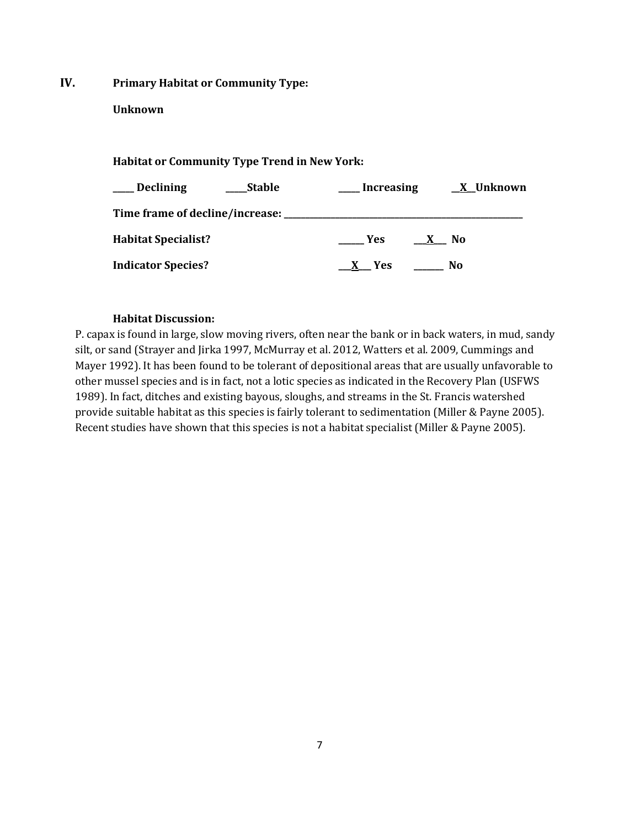**IV. Primary Habitat or Community Type:** 

### **Unknown**

# **Habitat or Community Type Trend in New York:**

| ___ Declining<br><b>Stable</b>         | <b>Increasing</b>                            | <u>X</u> Unknown |
|----------------------------------------|----------------------------------------------|------------------|
| Time frame of decline/increase: ______ |                                              |                  |
| <b>Habitat Specialist?</b>             | <b>Yes</b><br>N <sub>0</sub><br>$\mathbf{x}$ |                  |
| <b>Indicator Species?</b>              | No<br><b>Yes</b><br>X.                       |                  |

## **Habitat Discussion:**

P. capax is found in large, slow moving rivers, often near the bank or in back waters, in mud, sandy silt, or sand (Strayer and Jirka 1997, McMurray et al. 2012, Watters et al. 2009, Cummings and Mayer 1992). It has been found to be tolerant of depositional areas that are usually unfavorable to other mussel species and is in fact, not a lotic species as indicated in the Recovery Plan (USFWS 1989). In fact, ditches and existing bayous, sloughs, and streams in the St. Francis watershed provide suitable habitat as this species is fairly tolerant to sedimentation (Miller & Payne 2005). Recent studies have shown that this species is not a habitat specialist (Miller & Payne 2005).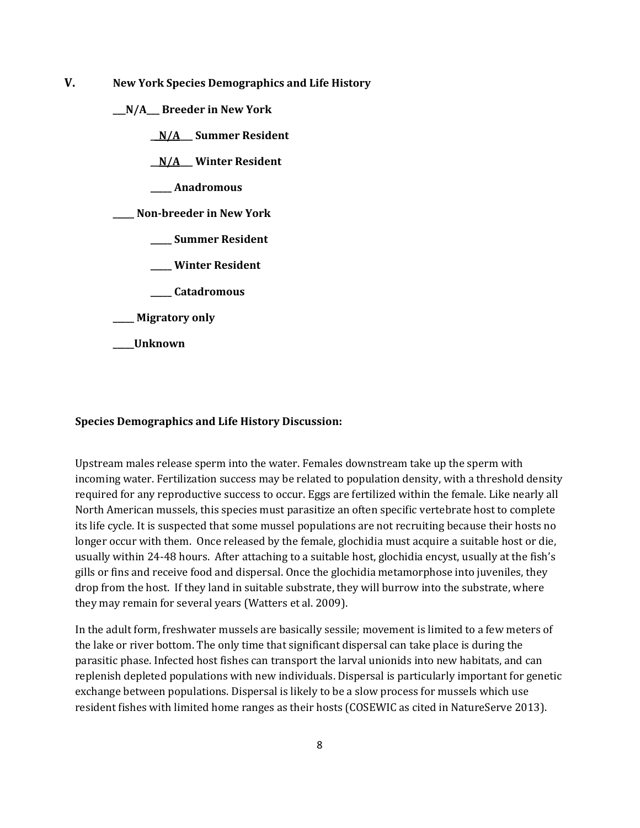**V. New York Species Demographics and Life History**

**\_\_\_N/A\_\_\_ Breeder in New York**

**\_\_N/A\_\_\_ Summer Resident**

**\_\_N/A\_\_\_ Winter Resident**

**\_\_\_\_\_ Anadromous**

**\_\_\_\_\_ Non-breeder in New York**

- **\_\_\_\_\_ Summer Resident**
- **\_\_\_\_\_ Winter Resident**
- **\_\_\_\_\_ Catadromous**

**\_\_\_\_\_ Migratory only**

**\_\_\_\_\_Unknown**

#### **Species Demographics and Life History Discussion:**

Upstream males release sperm into the water. Females downstream take up the sperm with incoming water. Fertilization success may be related to population density, with a threshold density required for any reproductive success to occur. Eggs are fertilized within the female. Like nearly all North American mussels, this species must parasitize an often specific vertebrate host to complete its life cycle. It is suspected that some mussel populations are not recruiting because their hosts no longer occur with them. Once released by the female, glochidia must acquire a suitable host or die, usually within 24-48 hours. After attaching to a suitable host, glochidia encyst, usually at the fish's gills or fins and receive food and dispersal. Once the glochidia metamorphose into juveniles, they drop from the host. If they land in suitable substrate, they will burrow into the substrate, where they may remain for several years (Watters et al. 2009).

In the adult form, freshwater mussels are basically sessile; movement is limited to a few meters of the lake or river bottom. The only time that significant dispersal can take place is during the parasitic phase. Infected host fishes can transport the larval unionids into new habitats, and can replenish depleted populations with new individuals. Dispersal is particularly important for genetic exchange between populations. Dispersal is likely to be a slow process for mussels which use resident fishes with limited home ranges as their hosts (COSEWIC as cited in NatureServe 2013).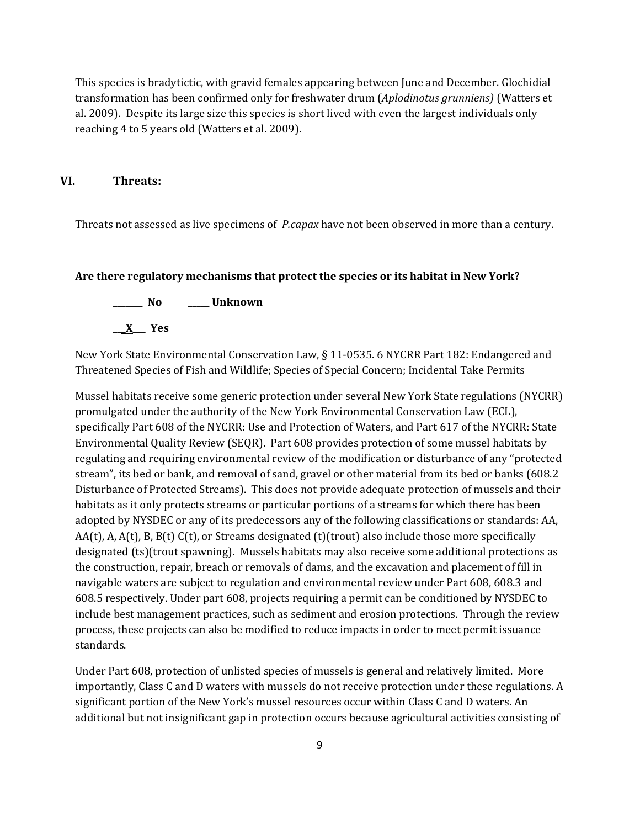This species is bradytictic, with gravid females appearing between June and December. Glochidial transformation has been confirmed only for freshwater drum (*Aplodinotus grunniens)* (Watters et al. 2009). Despite its large size this species is short lived with even the largest individuals only reaching 4 to 5 years old (Watters et al. 2009).

### **VI. Threats:**

Threats not assessed as live specimens of *P.capax* have not been observed in more than a century.

#### **Are there regulatory mechanisms that protect the species or its habitat in New York?**

**\_\_\_\_\_\_\_ No \_\_\_\_\_ Unknown \_\_\_X\_\_\_ Yes** 

New York State Environmental Conservation Law, § 11-0535. 6 NYCRR Part 182: Endangered and Threatened Species of Fish and Wildlife; Species of Special Concern; Incidental Take Permits

Mussel habitats receive some generic protection under several New York State regulations (NYCRR) promulgated under the authority of the New York Environmental Conservation Law (ECL), specifically Part 608 of the NYCRR: Use and Protection of Waters, and Part 617 of the NYCRR: State Environmental Quality Review (SEQR). Part 608 provides protection of some mussel habitats by regulating and requiring environmental review of the modification or disturbance of any "protected stream", its bed or bank, and removal of sand, gravel or other material from its bed or banks (608.2 Disturbance of Protected Streams). This does not provide adequate protection of mussels and their habitats as it only protects streams or particular portions of a streams for which there has been adopted by NYSDEC or any of its predecessors any of the following classifications or standards: AA,  $AA(t)$ , A,  $A(t)$ , B,  $B(t)$  C(t), or Streams designated (t)(trout) also include those more specifically designated (ts)(trout spawning). Mussels habitats may also receive some additional protections as the construction, repair, breach or removals of dams, and the excavation and placement of fill in navigable waters are subject to regulation and environmental review under Part 608, 608.3 and 608.5 respectively. Under part 608, projects requiring a permit can be conditioned by NYSDEC to include best management practices, such as sediment and erosion protections. Through the review process, these projects can also be modified to reduce impacts in order to meet permit issuance standards.

Under Part 608, protection of unlisted species of mussels is general and relatively limited. More importantly, Class C and D waters with mussels do not receive protection under these regulations. A significant portion of the New York's mussel resources occur within Class C and D waters. An additional but not insignificant gap in protection occurs because agricultural activities consisting of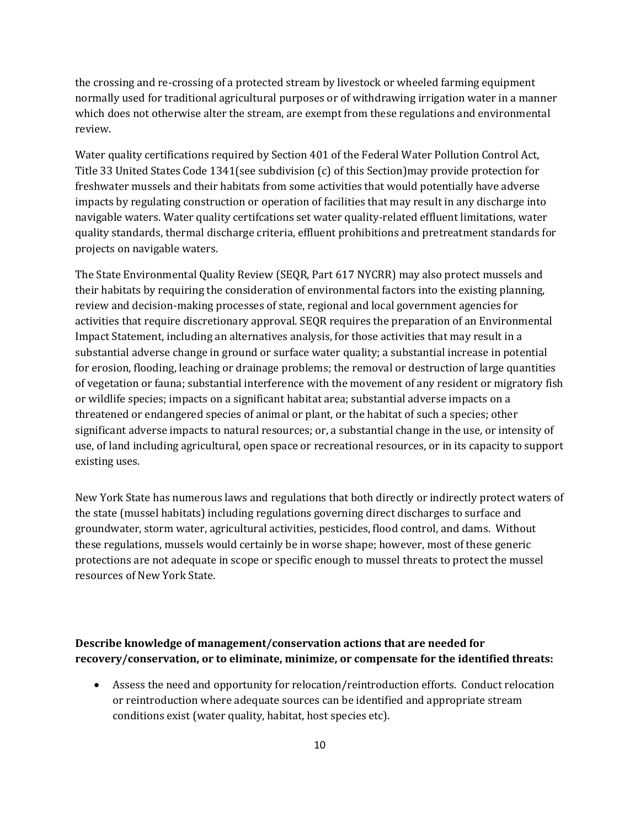the crossing and re-crossing of a protected stream by livestock or wheeled farming equipment normally used for traditional agricultural purposes or of withdrawing irrigation water in a manner which does not otherwise alter the stream, are exempt from these regulations and environmental review.

Water quality certifications required by Section 401 of the Federal Water Pollution Control Act, Title 33 United States Code 1341(see subdivision (c) of this Section)may provide protection for freshwater mussels and their habitats from some activities that would potentially have adverse impacts by regulating construction or operation of facilities that may result in any discharge into navigable waters. Water quality certifcations set water quality-related effluent limitations, water quality standards, thermal discharge criteria, effluent prohibitions and pretreatment standards for projects on navigable waters.

The State Environmental Quality Review (SEQR, Part 617 NYCRR) may also protect mussels and their habitats by requiring the consideration of environmental factors into the existing planning, review and decision-making processes of state, regional and local government agencies for activities that require discretionary approval. SEQR requires the preparation of an Environmental Impact Statement, including an alternatives analysis, for those activities that may result in a substantial adverse change in ground or surface water quality; a substantial increase in potential for erosion, flooding, leaching or drainage problems; the removal or destruction of large quantities of vegetation or fauna; substantial interference with the movement of any resident or migratory fish or wildlife species; impacts on a significant habitat area; substantial adverse impacts on a threatened or endangered species of animal or plant, or the habitat of such a species; other significant adverse impacts to natural resources; or, a substantial change in the use, or intensity of use, of land including agricultural, open space or recreational resources, or in its capacity to support existing uses.

New York State has numerous laws and regulations that both directly or indirectly protect waters of the state (mussel habitats) including regulations governing direct discharges to surface and groundwater, storm water, agricultural activities, pesticides, flood control, and dams. Without these regulations, mussels would certainly be in worse shape; however, most of these generic protections are not adequate in scope or specific enough to mussel threats to protect the mussel resources of New York State.

## **Describe knowledge of management/conservation actions that are needed for recovery/conservation, or to eliminate, minimize, or compensate for the identified threats:**

• Assess the need and opportunity for relocation/reintroduction efforts. Conduct relocation or reintroduction where adequate sources can be identified and appropriate stream conditions exist (water quality, habitat, host species etc).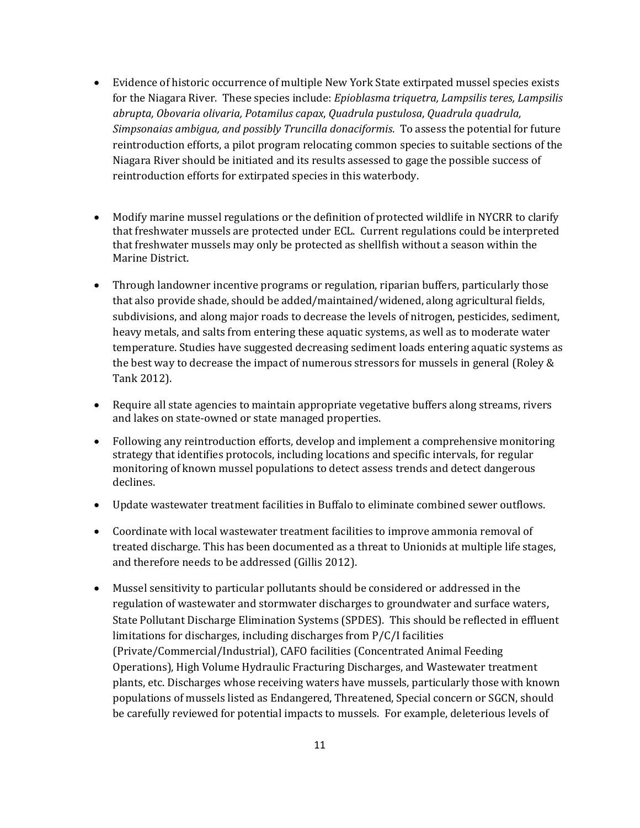- Evidence of historic occurrence of multiple New York State extirpated mussel species exists for the Niagara River. These species include: *Epioblasma triquetra, Lampsilis teres, Lampsilis abrupta, Obovaria olivaria, Potamilus capax*, *Quadrula pustulosa*, *Quadrula quadrula, Simpsonaias ambigua, and possibly Truncilla donaciformis*. To assess the potential for future reintroduction efforts, a pilot program relocating common species to suitable sections of the Niagara River should be initiated and its results assessed to gage the possible success of reintroduction efforts for extirpated species in this waterbody.
- Modify marine mussel regulations or the definition of protected wildlife in NYCRR to clarify that freshwater mussels are protected under ECL. Current regulations could be interpreted that freshwater mussels may only be protected as shellfish without a season within the Marine District.
- Through landowner incentive programs or regulation, riparian buffers, particularly those that also provide shade, should be added/maintained/widened, along agricultural fields, subdivisions, and along major roads to decrease the levels of nitrogen, pesticides, sediment, heavy metals, and salts from entering these aquatic systems, as well as to moderate water temperature. Studies have suggested decreasing sediment loads entering aquatic systems as the best way to decrease the impact of numerous stressors for mussels in general (Roley & Tank 2012).
- Require all state agencies to maintain appropriate vegetative buffers along streams, rivers and lakes on state-owned or state managed properties.
- Following any reintroduction efforts, develop and implement a comprehensive monitoring strategy that identifies protocols, including locations and specific intervals, for regular monitoring of known mussel populations to detect assess trends and detect dangerous declines.
- Update wastewater treatment facilities in Buffalo to eliminate combined sewer outflows.
- Coordinate with local wastewater treatment facilities to improve ammonia removal of treated discharge. This has been documented as a threat to Unionids at multiple life stages, and therefore needs to be addressed (Gillis 2012).
- Mussel sensitivity to particular pollutants should be considered or addressed in the regulation of wastewater and stormwater discharges to groundwater and surface waters, State Pollutant Discharge Elimination Systems (SPDES). This should be reflected in effluent limitations for discharges, including discharges from P/C/I facilities (Private/Commercial/Industrial), CAFO facilities (Concentrated Animal Feeding Operations), High Volume Hydraulic Fracturing Discharges, and Wastewater treatment plants, etc. Discharges whose receiving waters have mussels, particularly those with known populations of mussels listed as Endangered, Threatened, Special concern or SGCN, should be carefully reviewed for potential impacts to mussels. For example, deleterious levels of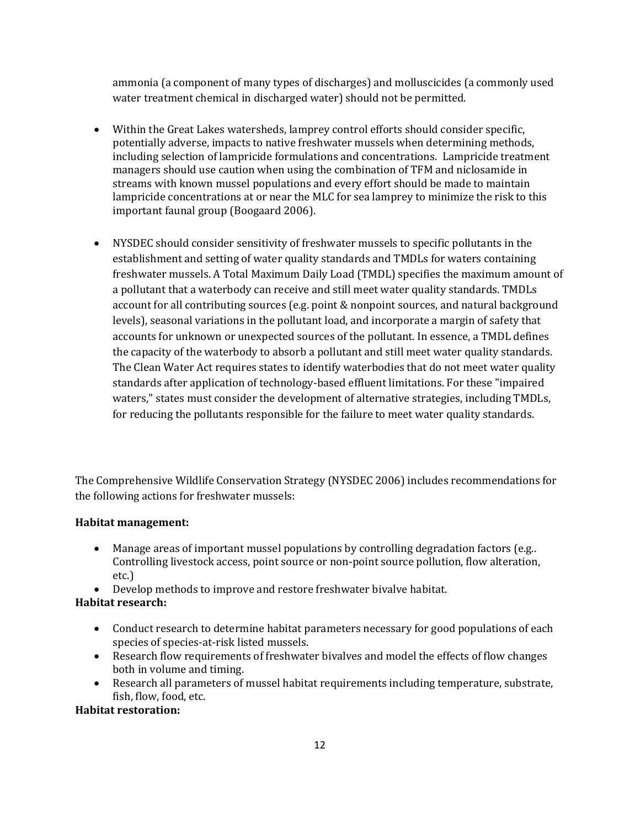ammonia (a component of many types of discharges) and molluscicides (a commonly used water treatment chemical in discharged water) should not be permitted.

- Within the Great Lakes watersheds, lamprey control efforts should consider specific, potentially adverse, impacts to native freshwater mussels when determining methods, including selection of lampricide formulations and concentrations. Lampricide treatment managers should use caution when using the combination of TFM and niclosamide in streams with known mussel populations and every effort should be made to maintain lampricide concentrations at or near the MLC for sea lamprey to minimize the risk to this important faunal group (Boogaard 2006).
- NYSDEC should consider sensitivity of freshwater mussels to specific pollutants in the establishment and setting of water quality standards and TMDLs for waters containing freshwater mussels. A Total Maximum Daily Load (TMDL) specifies the maximum amount of a pollutant that a waterbody can receive and still meet water quality standards. TMDLs account for all contributing sources (e.g. point & nonpoint sources, and natural background levels), seasonal variations in the pollutant load, and incorporate a margin of safety that accounts for unknown or unexpected sources of the pollutant. In essence, a TMDL defines the capacity of the waterbody to absorb a pollutant and still meet water quality standards. The Clean Water Act requires states to identify waterbodies that do not meet water quality standards after application of technology-based effluent limitations. For these "impaired waters," states must consider the development of alternative strategies, including TMDLs, for reducing the pollutants responsible for the failure to meet water quality standards.

The Comprehensive Wildlife Conservation Strategy (NYSDEC 2006) includes recommendations for the following actions for freshwater mussels:

### **Habitat management:**

- Manage areas of important mussel populations by controlling degradation factors (e.g.. Controlling livestock access, point source or non-point source pollution, flow alteration, etc.)
- Develop methods to improve and restore freshwater bivalve habitat.

### **Habitat research:**

- Conduct research to determine habitat parameters necessary for good populations of each species of species-at-risk listed mussels.
- Research flow requirements of freshwater bivalves and model the effects of flow changes both in volume and timing.
- Research all parameters of mussel habitat requirements including temperature, substrate, fish, flow, food, etc.

# **Habitat restoration:**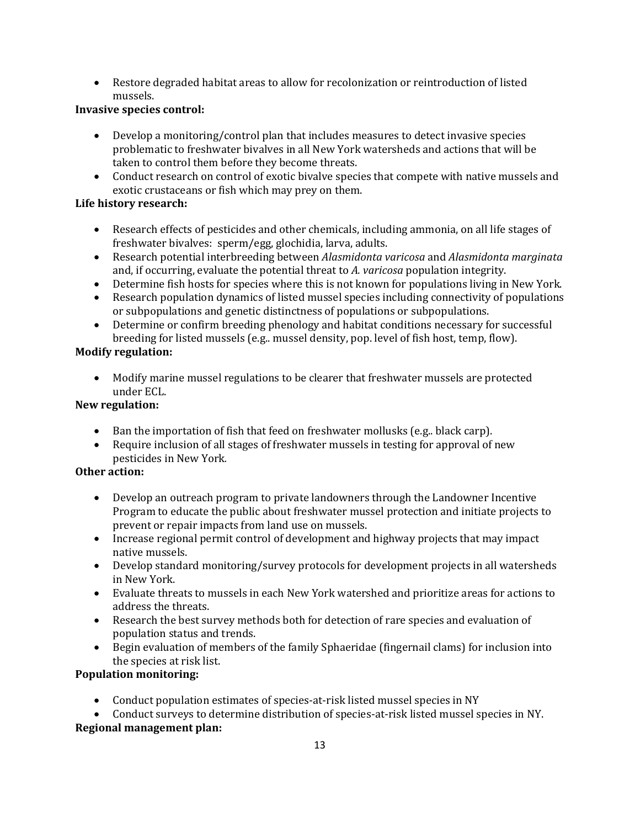• Restore degraded habitat areas to allow for recolonization or reintroduction of listed mussels.

# **Invasive species control:**

- Develop a monitoring/control plan that includes measures to detect invasive species problematic to freshwater bivalves in all New York watersheds and actions that will be taken to control them before they become threats.
- Conduct research on control of exotic bivalve species that compete with native mussels and exotic crustaceans or fish which may prey on them.

# **Life history research:**

- Research effects of pesticides and other chemicals, including ammonia, on all life stages of freshwater bivalves: sperm/egg, glochidia, larva, adults.
- Research potential interbreeding between *Alasmidonta varicosa* and *Alasmidonta marginata* and, if occurring, evaluate the potential threat to *A. varicosa* population integrity.
- Determine fish hosts for species where this is not known for populations living in New York.
- Research population dynamics of listed mussel species including connectivity of populations or subpopulations and genetic distinctness of populations or subpopulations.
- Determine or confirm breeding phenology and habitat conditions necessary for successful breeding for listed mussels (e.g.. mussel density, pop. level of fish host, temp, flow).

# **Modify regulation:**

• Modify marine mussel regulations to be clearer that freshwater mussels are protected under ECL.

# **New regulation:**

- Ban the importation of fish that feed on freshwater mollusks (e.g.. black carp).
- Require inclusion of all stages of freshwater mussels in testing for approval of new pesticides in New York*.*

# **Other action:**

- Develop an outreach program to private landowners through the Landowner Incentive Program to educate the public about freshwater mussel protection and initiate projects to prevent or repair impacts from land use on mussels.
- Increase regional permit control of development and highway projects that may impact native mussels.
- Develop standard monitoring/survey protocols for development projects in all watersheds in New York.
- Evaluate threats to mussels in each New York watershed and prioritize areas for actions to address the threats.
- Research the best survey methods both for detection of rare species and evaluation of population status and trends.
- Begin evaluation of members of the family Sphaeridae (fingernail clams) for inclusion into the species at risk list.

# **Population monitoring:**

• Conduct population estimates of species-at-risk listed mussel species in NY

• Conduct surveys to determine distribution of species-at-risk listed mussel species in NY. **Regional management plan:**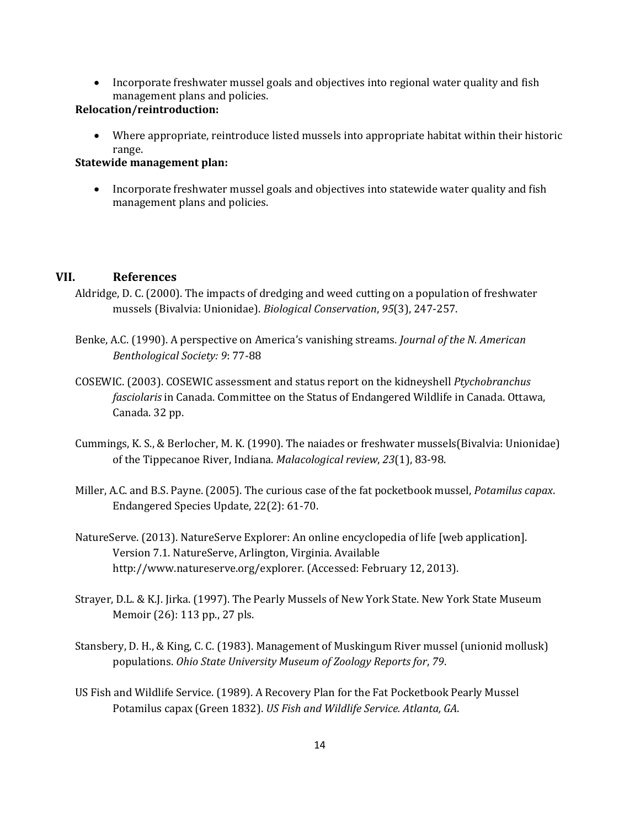• Incorporate freshwater mussel goals and objectives into regional water quality and fish management plans and policies.

### **Relocation/reintroduction:**

• Where appropriate, reintroduce listed mussels into appropriate habitat within their historic range.

### **Statewide management plan:**

• Incorporate freshwater mussel goals and objectives into statewide water quality and fish management plans and policies.

### **VII. References**

- Aldridge, D. C. (2000). The impacts of dredging and weed cutting on a population of freshwater mussels (Bivalvia: Unionidae). *Biological Conservation*, *95*(3), 247-257.
- Benke, A.C. (1990). A perspective on America's vanishing streams. *Journal of the N. American Benthological Society: 9*: 77-88
- COSEWIC. (2003). COSEWIC assessment and status report on the kidneyshell *Ptychobranchus fasciolaris* in Canada. Committee on the Status of Endangered Wildlife in Canada. Ottawa, Canada. 32 pp.
- Cummings, K. S., & Berlocher, M. K. (1990). The naiades or freshwater mussels(Bivalvia: Unionidae) of the Tippecanoe River, Indiana. *Malacological review*, *23*(1), 83-98.
- Miller, A.C. and B.S. Payne. (2005). The curious case of the fat pocketbook mussel, *Potamilus capax*. Endangered Species Update, 22(2): 61-70.
- NatureServe. (2013). NatureServe Explorer: An online encyclopedia of life [web application]. Version 7.1. NatureServe, Arlington, Virginia. Available http://www.natureserve.org/explorer. (Accessed: February 12, 2013).
- Strayer, D.L. & K.J. Jirka. (1997). The Pearly Mussels of New York State. New York State Museum Memoir (26): 113 pp., 27 pls.
- Stansbery, D. H., & King, C. C. (1983). Management of Muskingum River mussel (unionid mollusk) populations. *Ohio State University Museum of Zoology Reports for*, *79*.
- US Fish and Wildlife Service. (1989). A Recovery Plan for the Fat Pocketbook Pearly Mussel Potamilus capax (Green 1832). *US Fish and Wildlife Service. Atlanta, GA*.